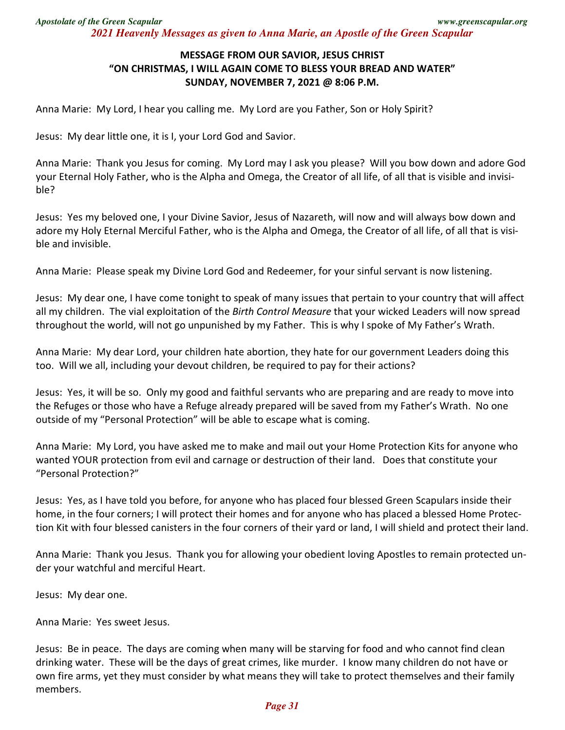## **MESSAGE FROM OUR SAVIOR, JESUS CHRIST "ON CHRISTMAS, I WILL AGAIN COME TO BLESS YOUR BREAD AND WATER" SUNDAY, NOVEMBER 7, 2021 @ 8:06 P.M.**

Anna Marie: My Lord, I hear you calling me. My Lord are you Father, Son or Holy Spirit?

Jesus: My dear little one, it is I, your Lord God and Savior.

Anna Marie: Thank you Jesus for coming. My Lord may I ask you please? Will you bow down and adore God your Eternal Holy Father, who is the Alpha and Omega, the Creator of all life, of all that is visible and invisible?

Jesus: Yes my beloved one, I your Divine Savior, Jesus of Nazareth, will now and will always bow down and adore my Holy Eternal Merciful Father, who is the Alpha and Omega, the Creator of all life, of all that is visible and invisible.

Anna Marie: Please speak my Divine Lord God and Redeemer, for your sinful servant is now listening.

Jesus: My dear one, I have come tonight to speak of many issues that pertain to your country that will affect all my children. The vial exploitation of the *Birth Control Measure* that your wicked Leaders will now spread throughout the world, will not go unpunished by my Father. This is why I spoke of My Father's Wrath.

Anna Marie: My dear Lord, your children hate abortion, they hate for our government Leaders doing this too. Will we all, including your devout children, be required to pay for their actions?

Jesus: Yes, it will be so. Only my good and faithful servants who are preparing and are ready to move into the Refuges or those who have a Refuge already prepared will be saved from my Father's Wrath. No one outside of my "Personal Protection" will be able to escape what is coming.

Anna Marie: My Lord, you have asked me to make and mail out your Home Protection Kits for anyone who wanted YOUR protection from evil and carnage or destruction of their land. Does that constitute your "Personal Protection?"

Jesus: Yes, as I have told you before, for anyone who has placed four blessed Green Scapulars inside their home, in the four corners; I will protect their homes and for anyone who has placed a blessed Home Protection Kit with four blessed canisters in the four corners of their yard or land, I will shield and protect their land.

Anna Marie: Thank you Jesus. Thank you for allowing your obedient loving Apostles to remain protected under your watchful and merciful Heart.

Jesus: My dear one.

Anna Marie: Yes sweet Jesus.

Jesus: Be in peace. The days are coming when many will be starving for food and who cannot find clean drinking water. These will be the days of great crimes, like murder. I know many children do not have or own fire arms, yet they must consider by what means they will take to protect themselves and their family members.